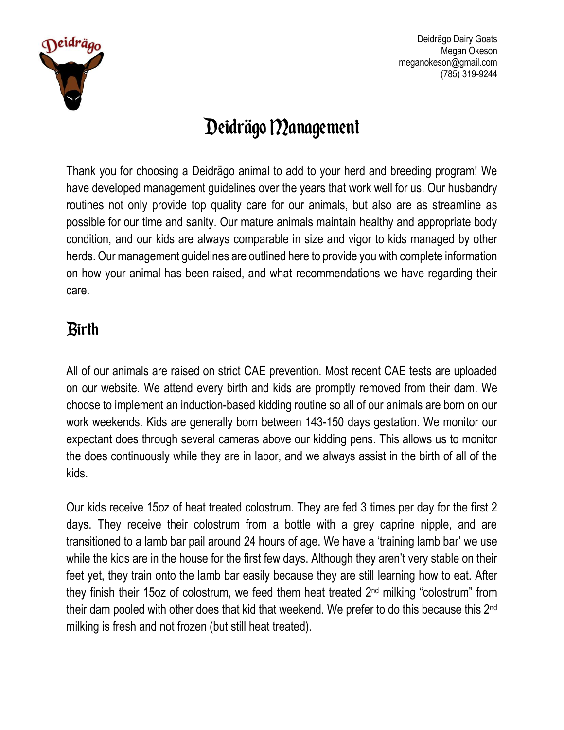

# Deidrägo Management

Thank you for choosing a Deidrägo animal to add to your herd and breeding program! We have developed management guidelines over the years that work well for us. Our husbandry routines not only provide top quality care for our animals, but also are as streamline as possible for our time and sanity. Our mature animals maintain healthy and appropriate body condition, and our kids are always comparable in size and vigor to kids managed by other herds. Our management guidelines are outlined here to provide you with complete information on how your animal has been raised, and what recommendations we have regarding their care.

### Birth

All of our animals are raised on strict CAE prevention. Most recent CAE tests are uploaded on our website. We attend every birth and kids are promptly removed from their dam. We choose to implement an induction-based kidding routine so all of our animals are born on our work weekends. Kids are generally born between 143-150 days gestation. We monitor our expectant does through several cameras above our kidding pens. This allows us to monitor the does continuously while they are in labor, and we always assist in the birth of all of the kids.

Our kids receive 15oz of heat treated colostrum. They are fed 3 times per day for the first 2 days. They receive their colostrum from a bottle with a grey caprine nipple, and are transitioned to a lamb bar pail around 24 hours of age. We have a 'training lamb bar' we use while the kids are in the house for the first few days. Although they aren't very stable on their feet yet, they train onto the lamb bar easily because they are still learning how to eat. After they finish their 15oz of colostrum, we feed them heat treated 2nd milking "colostrum" from their dam pooled with other does that kid that weekend. We prefer to do this because this 2nd milking is fresh and not frozen (but still heat treated).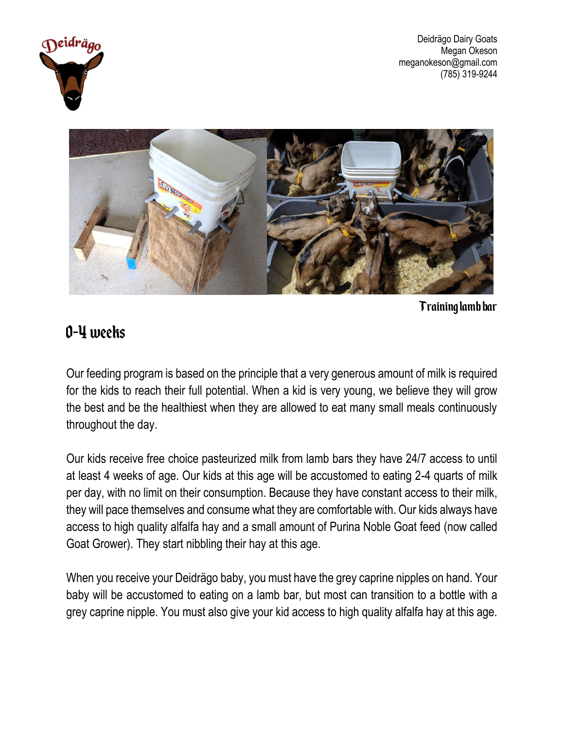



Training lamb bar

#### 0-4 weeks

Our feeding program is based on the principle that a very generous amount of milk is required for the kids to reach their full potential. When a kid is very young, we believe they will grow the best and be the healthiest when they are allowed to eat many small meals continuously throughout the day.

Our kids receive free choice pasteurized milk from lamb bars they have 24/7 access to until at least 4 weeks of age. Our kids at this age will be accustomed to eating 2-4 quarts of milk per day, with no limit on their consumption. Because they have constant access to their milk, they will pace themselves and consume what they are comfortable with. Our kids always have access to high quality alfalfa hay and a small amount of Purina Noble Goat feed (now called Goat Grower). They start nibbling their hay at this age.

When you receive your Deidrägo baby, you must have the grey caprine nipples on hand. Your baby will be accustomed to eating on a lamb bar, but most can transition to a bottle with a grey caprine nipple. You must also give your kid access to high quality alfalfa hay at this age.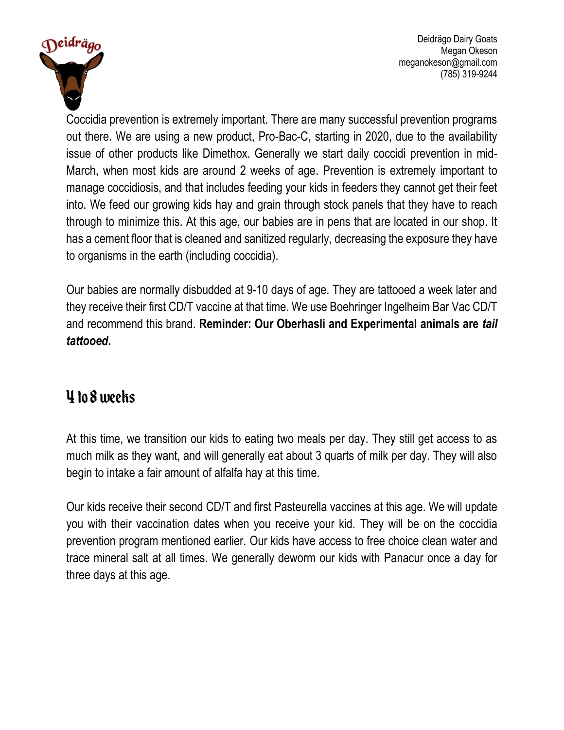

Coccidia prevention is extremely important. There are many successful prevention programs out there. We are using a new product, Pro-Bac-C, starting in 2020, due to the availability issue of other products like Dimethox. Generally we start daily coccidi prevention in mid-March, when most kids are around 2 weeks of age. Prevention is extremely important to manage coccidiosis, and that includes feeding your kids in feeders they cannot get their feet into. We feed our growing kids hay and grain through stock panels that they have to reach through to minimize this. At this age, our babies are in pens that are located in our shop. It has a cement floor that is cleaned and sanitized regularly, decreasing the exposure they have to organisms in the earth (including coccidia).

Our babies are normally disbudded at 9-10 days of age. They are tattooed a week later and they receive their first CD/T vaccine at that time. We use Boehringer Ingelheim Bar Vac CD/T and recommend this brand. **Reminder: Our Oberhasli and Experimental animals are** *tail tattooed***.** 

#### 4 to 8 weeks

At this time, we transition our kids to eating two meals per day. They still get access to as much milk as they want, and will generally eat about 3 quarts of milk per day. They will also begin to intake a fair amount of alfalfa hay at this time.

Our kids receive their second CD/T and first Pasteurella vaccines at this age. We will update you with their vaccination dates when you receive your kid. They will be on the coccidia prevention program mentioned earlier. Our kids have access to free choice clean water and trace mineral salt at all times. We generally deworm our kids with Panacur once a day for three days at this age.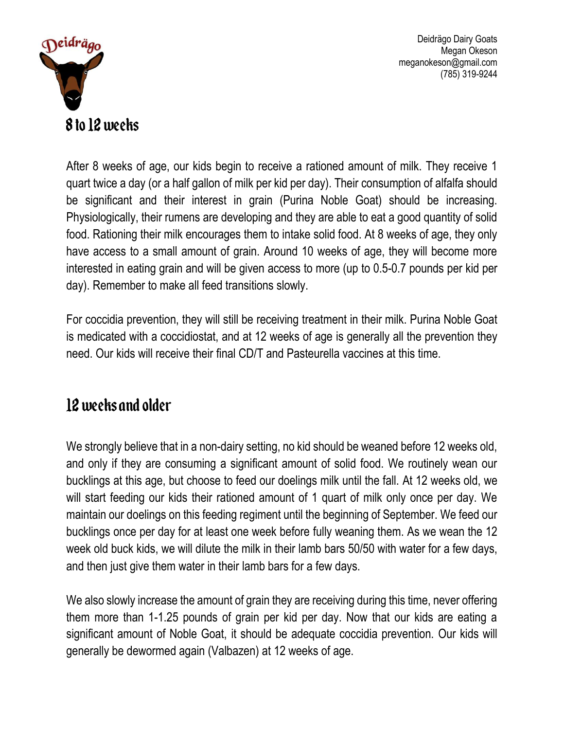

After 8 weeks of age, our kids begin to receive a rationed amount of milk. They receive 1 quart twice a day (or a half gallon of milk per kid per day). Their consumption of alfalfa should be significant and their interest in grain (Purina Noble Goat) should be increasing. Physiologically, their rumens are developing and they are able to eat a good quantity of solid food. Rationing their milk encourages them to intake solid food. At 8 weeks of age, they only have access to a small amount of grain. Around 10 weeks of age, they will become more interested in eating grain and will be given access to more (up to 0.5-0.7 pounds per kid per day). Remember to make all feed transitions slowly.

For coccidia prevention, they will still be receiving treatment in their milk. Purina Noble Goat is medicated with a coccidiostat, and at 12 weeks of age is generally all the prevention they need. Our kids will receive their final CD/T and Pasteurella vaccines at this time.

#### 12 weeks and older

We strongly believe that in a non-dairy setting, no kid should be weaned before 12 weeks old, and only if they are consuming a significant amount of solid food. We routinely wean our bucklings at this age, but choose to feed our doelings milk until the fall. At 12 weeks old, we will start feeding our kids their rationed amount of 1 quart of milk only once per day. We maintain our doelings on this feeding regiment until the beginning of September. We feed our bucklings once per day for at least one week before fully weaning them. As we wean the 12 week old buck kids, we will dilute the milk in their lamb bars 50/50 with water for a few days, and then just give them water in their lamb bars for a few days.

We also slowly increase the amount of grain they are receiving during this time, never offering them more than 1-1.25 pounds of grain per kid per day. Now that our kids are eating a significant amount of Noble Goat, it should be adequate coccidia prevention. Our kids will generally be dewormed again (Valbazen) at 12 weeks of age.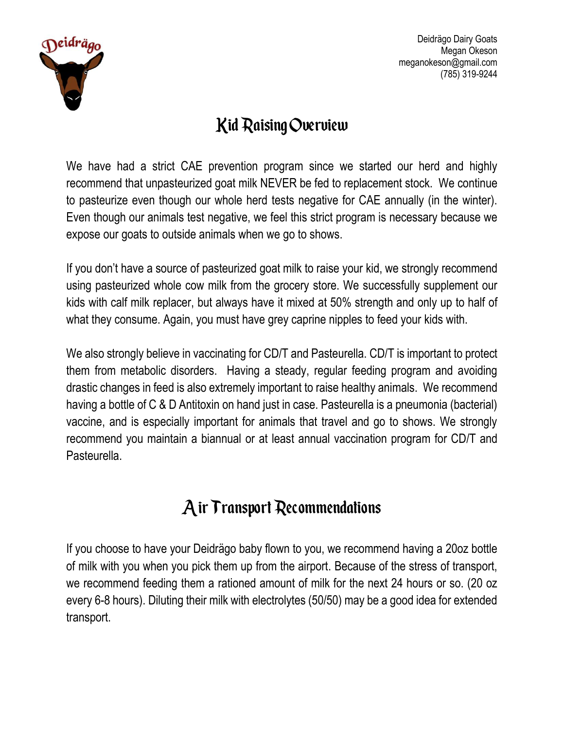

### Kid Raising Overview

We have had a strict CAE prevention program since we started our herd and highly recommend that unpasteurized goat milk NEVER be fed to replacement stock. We continue to pasteurize even though our whole herd tests negative for CAE annually (in the winter). Even though our animals test negative, we feel this strict program is necessary because we expose our goats to outside animals when we go to shows.

If you don't have a source of pasteurized goat milk to raise your kid, we strongly recommend using pasteurized whole cow milk from the grocery store. We successfully supplement our kids with calf milk replacer, but always have it mixed at 50% strength and only up to half of what they consume. Again, you must have grey caprine nipples to feed your kids with.

We also strongly believe in vaccinating for CD/T and Pasteurella. CD/T is important to protect them from metabolic disorders. Having a steady, regular feeding program and avoiding drastic changes in feed is also extremely important to raise healthy animals. We recommend having a bottle of C & D Antitoxin on hand just in case. Pasteurella is a pneumonia (bacterial) vaccine, and is especially important for animals that travel and go to shows. We strongly recommend you maintain a biannual or at least annual vaccination program for CD/T and Pasteurella.

### Air Transport Recommendations

If you choose to have your Deidrägo baby flown to you, we recommend having a 20oz bottle of milk with you when you pick them up from the airport. Because of the stress of transport, we recommend feeding them a rationed amount of milk for the next 24 hours or so. (20 oz every 6-8 hours). Diluting their milk with electrolytes (50/50) may be a good idea for extended transport.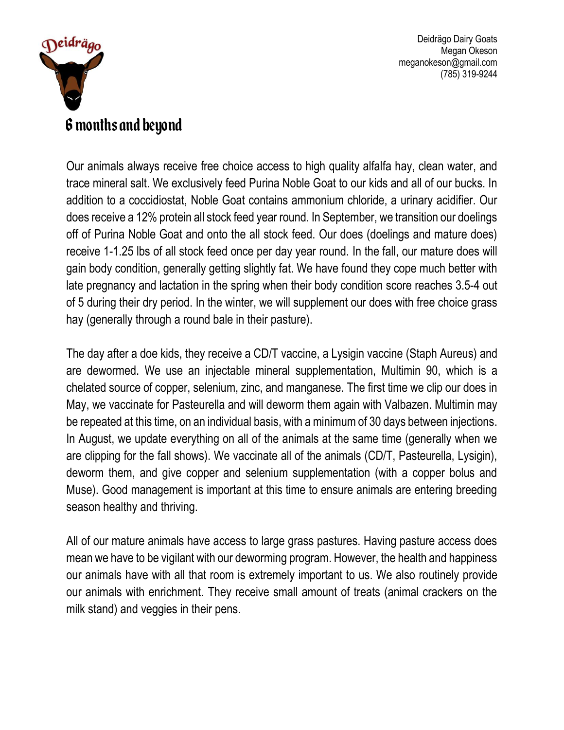

#### 6 months and beyond

Our animals always receive free choice access to high quality alfalfa hay, clean water, and trace mineral salt. We exclusively feed Purina Noble Goat to our kids and all of our bucks. In addition to a coccidiostat, Noble Goat contains ammonium chloride, a urinary acidifier. Our does receive a 12% protein all stock feed year round. In September, we transition our doelings off of Purina Noble Goat and onto the all stock feed. Our does (doelings and mature does) receive 1-1.25 lbs of all stock feed once per day year round. In the fall, our mature does will gain body condition, generally getting slightly fat. We have found they cope much better with late pregnancy and lactation in the spring when their body condition score reaches 3.5-4 out of 5 during their dry period. In the winter, we will supplement our does with free choice grass hay (generally through a round bale in their pasture).

The day after a doe kids, they receive a CD/T vaccine, a Lysigin vaccine (Staph Aureus) and are dewormed. We use an injectable mineral supplementation, Multimin 90, which is a chelated source of copper, selenium, zinc, and manganese. The first time we clip our does in May, we vaccinate for Pasteurella and will deworm them again with Valbazen. Multimin may be repeated at this time, on an individual basis, with a minimum of 30 days between injections. In August, we update everything on all of the animals at the same time (generally when we are clipping for the fall shows). We vaccinate all of the animals (CD/T, Pasteurella, Lysigin), deworm them, and give copper and selenium supplementation (with a copper bolus and Muse). Good management is important at this time to ensure animals are entering breeding season healthy and thriving.

All of our mature animals have access to large grass pastures. Having pasture access does mean we have to be vigilant with our deworming program. However, the health and happiness our animals have with all that room is extremely important to us. We also routinely provide our animals with enrichment. They receive small amount of treats (animal crackers on the milk stand) and veggies in their pens.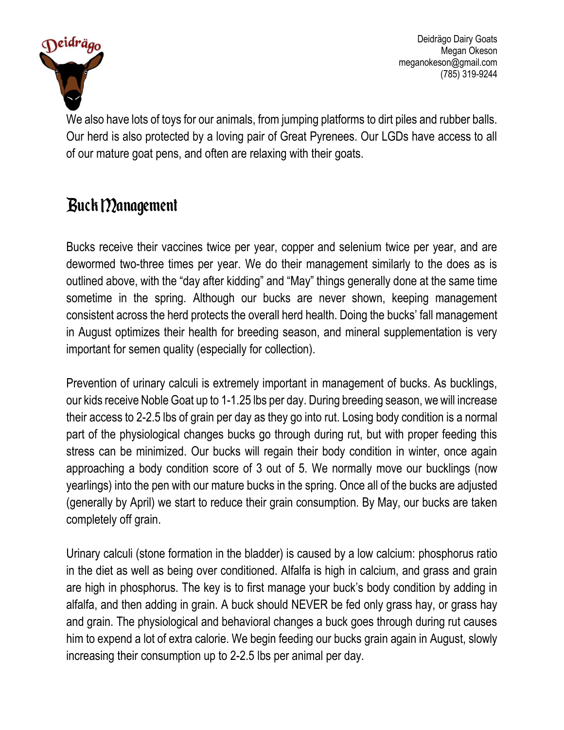

We also have lots of toys for our animals, from jumping platforms to dirt piles and rubber balls. Our herd is also protected by a loving pair of Great Pyrenees. Our LGDs have access to all of our mature goat pens, and often are relaxing with their goats.

### Buck Management

Bucks receive their vaccines twice per year, copper and selenium twice per year, and are dewormed two-three times per year. We do their management similarly to the does as is outlined above, with the "day after kidding" and "May" things generally done at the same time sometime in the spring. Although our bucks are never shown, keeping management consistent across the herd protects the overall herd health. Doing the bucks' fall management in August optimizes their health for breeding season, and mineral supplementation is very important for semen quality (especially for collection).

Prevention of urinary calculi is extremely important in management of bucks. As bucklings, our kids receive Noble Goat up to 1-1.25 lbs per day. During breeding season, we will increase their access to 2-2.5 lbs of grain per day as they go into rut. Losing body condition is a normal part of the physiological changes bucks go through during rut, but with proper feeding this stress can be minimized. Our bucks will regain their body condition in winter, once again approaching a body condition score of 3 out of 5. We normally move our bucklings (now yearlings) into the pen with our mature bucks in the spring. Once all of the bucks are adjusted (generally by April) we start to reduce their grain consumption. By May, our bucks are taken completely off grain.

Urinary calculi (stone formation in the bladder) is caused by a low calcium: phosphorus ratio in the diet as well as being over conditioned. Alfalfa is high in calcium, and grass and grain are high in phosphorus. The key is to first manage your buck's body condition by adding in alfalfa, and then adding in grain. A buck should NEVER be fed only grass hay, or grass hay and grain. The physiological and behavioral changes a buck goes through during rut causes him to expend a lot of extra calorie. We begin feeding our bucks grain again in August, slowly increasing their consumption up to 2-2.5 lbs per animal per day.